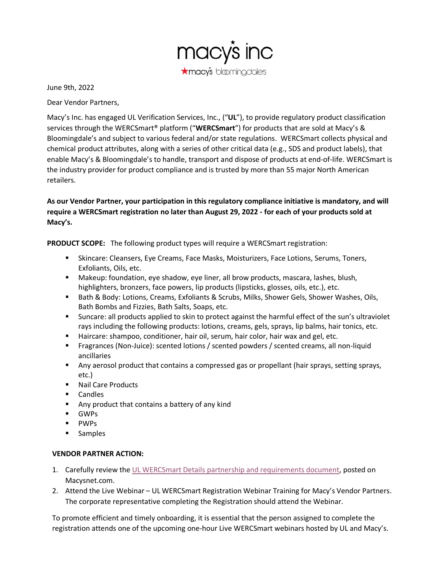

June 9th, 2022

Dear Vendor Partners,

Macy's Inc. has engaged UL Verification Services, Inc., ("**UL**"), to provide regulatory product classification services through the WERCSmart® platform ("**WERCSmart**") for products that are sold at Macy's & Bloomingdale's and subject to various federal and/or state regulations. WERCSmart collects physical and chemical product attributes, along with a series of other critical data (e.g., SDS and product labels), that enable Macy's & Bloomingdale's to handle, transport and dispose of products at end-of-life. WERCSmart is the industry provider for product compliance and is trusted by more than 55 major North American retailers.

**As our Vendor Partner, your participation in this regulatory compliance initiative is mandatory, and will require a WERCSmart registration no later than August 29, 2022 - for each of your products sold at Macy's.**

**PRODUCT SCOPE:** The following product types will require a WERCSmart registration:

- **EXEDENTS:** Skincare: Cleansers, Eye Creams, Face Masks, Moisturizers, Face Lotions, Serums, Toners, Exfoliants, Oils, etc.
- Makeup: foundation, eye shadow, eye liner, all brow products, mascara, lashes, blush, highlighters, bronzers, face powers, lip products (lipsticks, glosses, oils, etc.), etc.
- Bath & Body: Lotions, Creams, Exfoliants & Scrubs, Milks, Shower Gels, Shower Washes, Oils, Bath Bombs and Fizzies, Bath Salts, Soaps, etc.
- Suncare: all products applied to skin to protect against the harmful effect of the sun's ultraviolet rays including the following products: lotions, creams, gels, sprays, lip balms, hair tonics, etc.
- Haircare: shampoo, conditioner, hair oil, serum, hair color, hair wax and gel, etc.
- Fragrances (Non-Juice): scented lotions / scented powders / scented creams, all non-liquid ancillaries
- Any aerosol product that contains a compressed gas or propellant (hair sprays, setting sprays, etc.)
- Nail Care Products
- Candles
- Any product that contains a battery of any kind
- GWPs
- PWPs
- Samples

## **VENDOR PARTNER ACTION:**

- 1. Carefully review the [UL WERCSmart Details partnership and requirements document,](https://macysnet.com/MDOCWeb/documents.aspx?document=Vendor%20Standards%20-%20Beauty%20Vendors%20UL%20WERCSmart%20details) posted on Macysnet.com.
- 2. Attend the Live Webinar UL WERCSmart Registration Webinar Training for Macy's Vendor Partners. The corporate representative completing the Registration should attend the Webinar.

To promote efficient and timely onboarding, it is essential that the person assigned to complete the registration attends one of the upcoming one-hour Live WERCSmart webinars hosted by UL and Macy's.